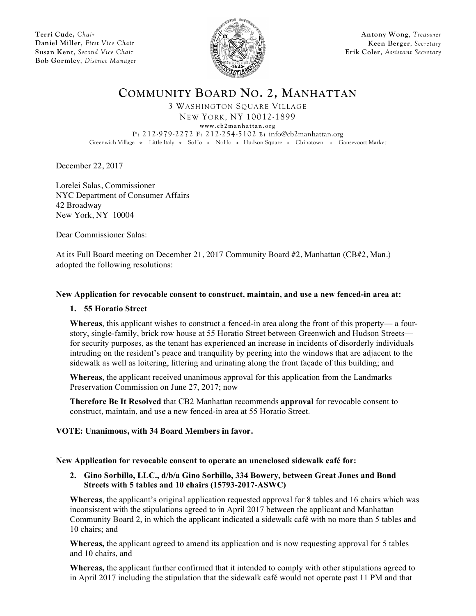**Terri Cude,** *Chair* **Daniel Miller**, *First Vice Chair* **Susan Kent**, *Second Vice Chair* **Bob Gormley**, *District Manager*



**Antony Wong**, *Treasurer* **Keen Berger**, *Secretary* **Erik Coler**, *Assistant Secretary*

**COMMUNITY BOARD NO. 2, MANHATTAN**

3 WASHINGTON SQUARE VILLAGE NEW YORK, NY 10012-1899

**www.cb2manhattan.org**

**P**: 212-979-2272 **F**: 212-254-5102 **E:** info@cb2manhattan.org

Greenwich Village • Little Italy • SoHo • NoHo • Hudson Square • Chinatown • Gansevoort Market

December 22, 2017

Lorelei Salas, Commissioner NYC Department of Consumer Affairs 42 Broadway New York, NY 10004

Dear Commissioner Salas:

At its Full Board meeting on December 21, 2017 Community Board #2, Manhattan (CB#2, Man.) adopted the following resolutions:

### **New Application for revocable consent to construct, maintain, and use a new fenced-in area at:**

# **1. 55 Horatio Street**

**Whereas**, this applicant wishes to construct a fenced-in area along the front of this property— a fourstory, single-family, brick row house at 55 Horatio Street between Greenwich and Hudson Streets for security purposes, as the tenant has experienced an increase in incidents of disorderly individuals intruding on the resident's peace and tranquility by peering into the windows that are adjacent to the sidewalk as well as loitering, littering and urinating along the front façade of this building; and

**Whereas**, the applicant received unanimous approval for this application from the Landmarks Preservation Commission on June 27, 2017; now

**Therefore Be It Resolved** that CB2 Manhattan recommends **approval** for revocable consent to construct, maintain, and use a new fenced-in area at 55 Horatio Street.

# **VOTE: Unanimous, with 34 Board Members in favor.**

### **New Application for revocable consent to operate an unenclosed sidewalk café for:**

### **2. Gino Sorbillo, LLC., d/b/a Gino Sorbillo, 334 Bowery, between Great Jones and Bond Streets with 5 tables and 10 chairs (15793-2017-ASWC)**

**Whereas**, the applicant's original application requested approval for 8 tables and 16 chairs which was inconsistent with the stipulations agreed to in April 2017 between the applicant and Manhattan Community Board 2, in which the applicant indicated a sidewalk café with no more than 5 tables and 10 chairs; and

**Whereas,** the applicant agreed to amend its application and is now requesting approval for 5 tables and 10 chairs, and

**Whereas,** the applicant further confirmed that it intended to comply with other stipulations agreed to in April 2017 including the stipulation that the sidewalk café would not operate past 11 PM and that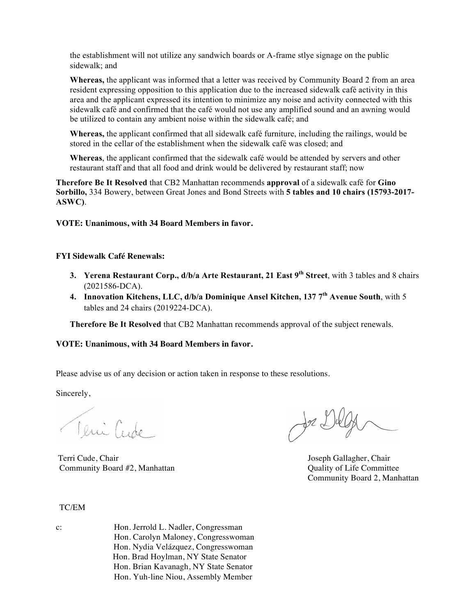the establishment will not utilize any sandwich boards or A-frame stlye signage on the public sidewalk; and

**Whereas,** the applicant was informed that a letter was received by Community Board 2 from an area resident expressing opposition to this application due to the increased sidewalk café activity in this area and the applicant expressed its intention to minimize any noise and activity connected with this sidewalk café and confirmed that the café would not use any amplified sound and an awning would be utilized to contain any ambient noise within the sidewalk café; and

**Whereas,** the applicant confirmed that all sidewalk café furniture, including the railings, would be stored in the cellar of the establishment when the sidewalk café was closed; and

**Whereas**, the applicant confirmed that the sidewalk café would be attended by servers and other restaurant staff and that all food and drink would be delivered by restaurant staff; now

**Therefore Be It Resolved** that CB2 Manhattan recommends **approval** of a sidewalk café for **Gino Sorbillo,** 334 Bowery, between Great Jones and Bond Streets with **5 tables and 10 chairs (15793-2017- ASWC)**.

**VOTE: Unanimous, with 34 Board Members in favor.** 

# **FYI Sidewalk Café Renewals:**

- **3. Yerena Restaurant Corp., d/b/a Arte Restaurant, 21 East 9th Street**, with 3 tables and 8 chairs (2021586-DCA).
- **4. Innovation Kitchens, LLC, d/b/a Dominique Ansel Kitchen, 137 7th Avenue South**, with 5 tables and 24 chairs (2019224-DCA).

**Therefore Be It Resolved** that CB2 Manhattan recommends approval of the subject renewals.

### **VOTE: Unanimous, with 34 Board Members in favor.**

Please advise us of any decision or action taken in response to these resolutions.

Sincerely,

Teni Cude

Terri Cude, Chair Joseph Gallagher, Chair Community Board #2, Manhattan Quality of Life Committee

Je Dug

Community Board 2, Manhattan

### TC/EM

c: Hon. Jerrold L. Nadler, Congressman Hon. Carolyn Maloney, Congresswoman Hon. Nydia Velázquez, Congresswoman Hon. Brad Hoylman, NY State Senator Hon. Brian Kavanagh, NY State Senator Hon. Yuh-line Niou, Assembly Member